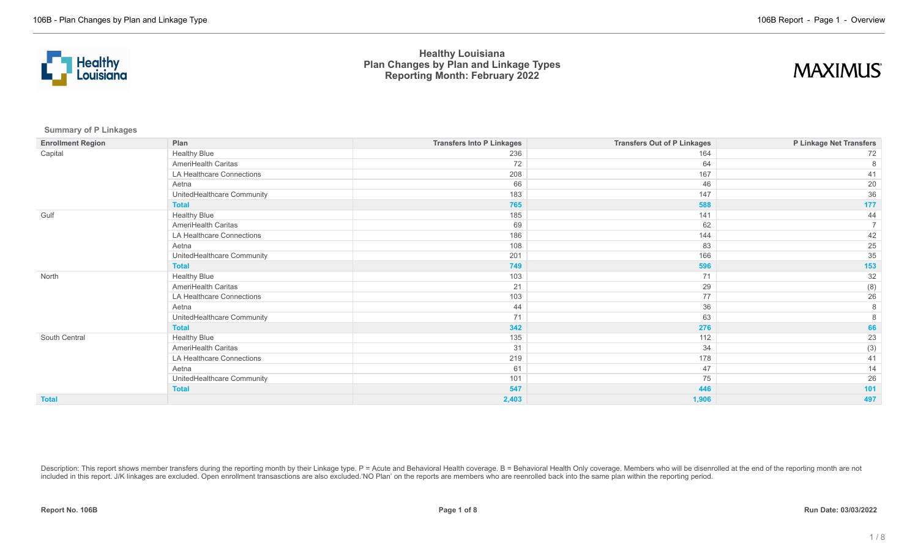



**Summary of P Linkages**

| <b>Enrollment Region</b> | Plan                       | <b>Transfers Into P Linkages</b> | <b>Transfers Out of P Linkages</b> | P Linkage Net Transfers |
|--------------------------|----------------------------|----------------------------------|------------------------------------|-------------------------|
| Capital                  | <b>Healthy Blue</b>        | 236                              | 164                                | 72                      |
|                          | AmeriHealth Caritas        | 72                               | 64                                 | 8                       |
|                          | LA Healthcare Connections  | 208                              | 167                                | 41                      |
|                          | Aetna                      | 66                               | 46                                 | 20                      |
|                          | UnitedHealthcare Community | 183                              | 147                                | 36                      |
|                          | <b>Total</b>               | 765                              | 588                                | 177                     |
| Gulf                     | <b>Healthy Blue</b>        | 185                              | 141                                | 44                      |
|                          | AmeriHealth Caritas        | 69                               | 62                                 | $\overline{7}$          |
|                          | LA Healthcare Connections  | 186                              | 144                                | 42                      |
|                          | Aetna                      | 108                              | 83                                 | 25                      |
|                          | UnitedHealthcare Community | 201                              | 166                                | 35                      |
|                          | <b>Total</b>               | 749                              | 596                                | 153                     |
| North                    | <b>Healthy Blue</b>        | 103                              | 71                                 | $32\,$                  |
|                          | AmeriHealth Caritas        | 21                               | 29                                 | (8)                     |
|                          | LA Healthcare Connections  | 103                              | 77                                 | 26                      |
|                          | Aetna                      | 44                               | 36                                 | 8                       |
|                          | UnitedHealthcare Community | 71                               | 63                                 |                         |
|                          | <b>Total</b>               | 342                              | 276                                | 66                      |
| South Central            | <b>Healthy Blue</b>        | 135                              | 112                                | 23                      |
|                          | AmeriHealth Caritas        | 31                               | 34                                 | (3)                     |
|                          | LA Healthcare Connections  | 219                              | 178                                | 41                      |
|                          | Aetna                      | 61                               | 47                                 | 14                      |
|                          | UnitedHealthcare Community | 101                              | 75                                 | 26                      |
|                          | <b>Total</b>               | 547                              | 446                                | 101                     |
| <b>Total</b>             |                            | 2,403                            | 1,906                              | 497                     |

Description: This report shows member transfers during the reporting month by their Linkage type. P = Acute and Behavioral Health coverage. B = Behavioral Health Only coverage. Members who will be disenrolled at the end of included in this report. J/K linkages are excluded. Open enrollment transasctions are also excluded.'NO Plan' on the reports are members who are reenrolled back into the same plan within the reporting period.

**Report No. 106B Page 1 of 8 Run Date: 03/03/2022**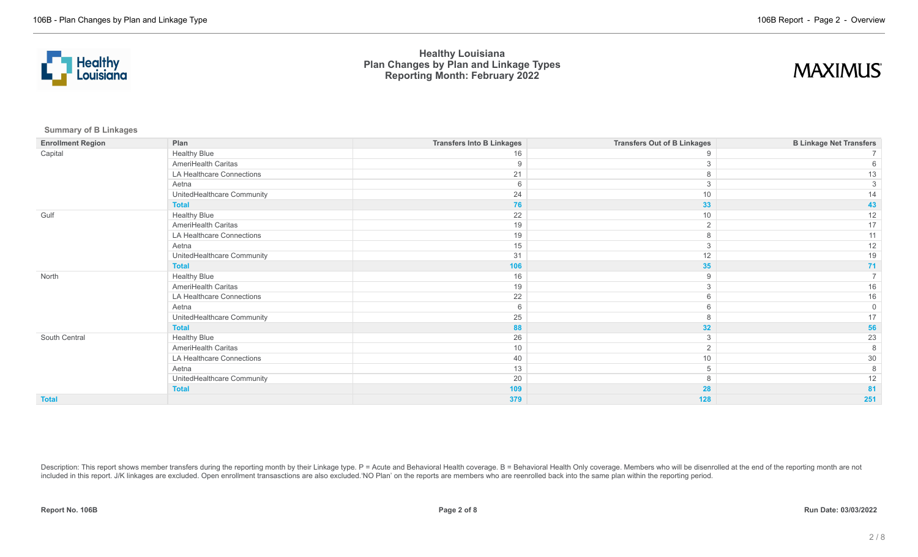



**Summary of B Linkages**

| <b>Enrollment Region</b> | Plan                       | <b>Transfers Into B Linkages</b> | <b>Transfers Out of B Linkages</b> | <b>B Linkage Net Transfers</b> |
|--------------------------|----------------------------|----------------------------------|------------------------------------|--------------------------------|
| Capital                  | <b>Healthy Blue</b>        | 16                               | 9                                  |                                |
|                          | AmeriHealth Caritas        | 9                                |                                    |                                |
|                          | LA Healthcare Connections  | 21                               | 8                                  |                                |
|                          | Aetna                      | 6                                | 3                                  |                                |
|                          | UnitedHealthcare Community | 24                               | 10                                 |                                |
|                          | <b>Total</b>               | 76                               | 33                                 | 43                             |
| Gulf                     | <b>Healthy Blue</b>        | 22                               | 10                                 | 12                             |
|                          | AmeriHealth Caritas        | 19                               | $\overline{2}$                     | 17                             |
|                          | LA Healthcare Connections  | 19                               | 8                                  | 11                             |
|                          | Aetna                      | 15                               | 3                                  | 12                             |
|                          | UnitedHealthcare Community | 31                               | 12                                 | 19                             |
|                          | <b>Total</b>               | 106                              | 35                                 | 71                             |
| North                    | <b>Healthy Blue</b>        | 16                               | 9                                  |                                |
|                          | AmeriHealth Caritas        | 19                               | 3                                  | 16                             |
|                          | LA Healthcare Connections  | 22                               | 6                                  | 16                             |
|                          | Aetna                      | 6                                | 6                                  | $\Omega$                       |
|                          | UnitedHealthcare Community | 25                               | 8                                  |                                |
|                          | <b>Total</b>               | 88                               | 32                                 | 56                             |
| South Central            | <b>Healthy Blue</b>        | 26                               | 3                                  | 23                             |
|                          | AmeriHealth Caritas        | 10                               | 2                                  |                                |
|                          | LA Healthcare Connections  | 40                               | 10                                 | 30                             |
|                          | Aetna                      | 13                               | 5                                  |                                |
|                          | UnitedHealthcare Community | 20                               | 8                                  | 12                             |
|                          | <b>Total</b>               | 109                              | 28                                 | 81                             |
| <b>Total</b>             |                            | 379                              | 128                                | 251                            |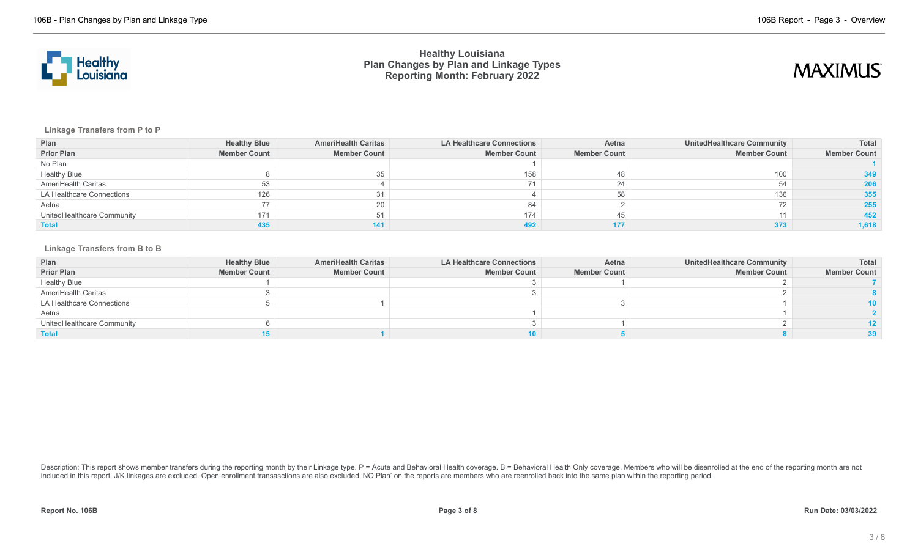



**Linkage Transfers from P to P**

| Plan                       | <b>Healthy Blue</b> | <b>AmeriHealth Caritas</b> | <b>LA Healthcare Connections</b> | Aetna               | <b>UnitedHealthcare Community</b> | <b>Total</b>        |
|----------------------------|---------------------|----------------------------|----------------------------------|---------------------|-----------------------------------|---------------------|
| <b>Prior Plan</b>          | <b>Member Count</b> | <b>Member Count</b>        | <b>Member Count</b>              | <b>Member Count</b> | <b>Member Count</b>               | <b>Member Count</b> |
| No Plan                    |                     |                            |                                  |                     |                                   |                     |
| <b>Healthy Blue</b>        |                     | 35                         | 158                              |                     | 100                               | 349                 |
| AmeriHealth Caritas        | 53                  |                            |                                  | 24                  |                                   | 206                 |
| LA Healthcare Connections  | 126                 | 31                         |                                  |                     | 136                               | 355                 |
| Aetna                      | 77                  | 20                         |                                  |                     |                                   | 255                 |
| UnitedHealthcare Community | 171                 | 51                         | 174                              | 45                  | 11                                | 452                 |
| <b>Total</b>               | 435                 | 141                        |                                  |                     | 373                               | 1,618               |

#### **Linkage Transfers from B to B**

| Plan                       | <b>Healthy Blue</b> | <b>AmeriHealth Caritas</b> | <b>LA Healthcare Connections</b> | Aetna               | <b>UnitedHealthcare Community</b> | Total               |
|----------------------------|---------------------|----------------------------|----------------------------------|---------------------|-----------------------------------|---------------------|
| <b>Prior Plan</b>          | <b>Member Count</b> | <b>Member Count</b>        | <b>Member Count</b>              | <b>Member Count</b> | <b>Member Count</b>               | <b>Member Count</b> |
| <b>Healthy Blue</b>        |                     |                            |                                  |                     |                                   |                     |
| AmeriHealth Caritas        |                     |                            |                                  |                     |                                   |                     |
| LA Healthcare Connections  |                     |                            |                                  |                     |                                   | 10.                 |
| Aetna                      |                     |                            |                                  |                     |                                   |                     |
| UnitedHealthcare Community |                     |                            |                                  |                     |                                   |                     |
| <b>Total</b>               |                     |                            |                                  |                     |                                   |                     |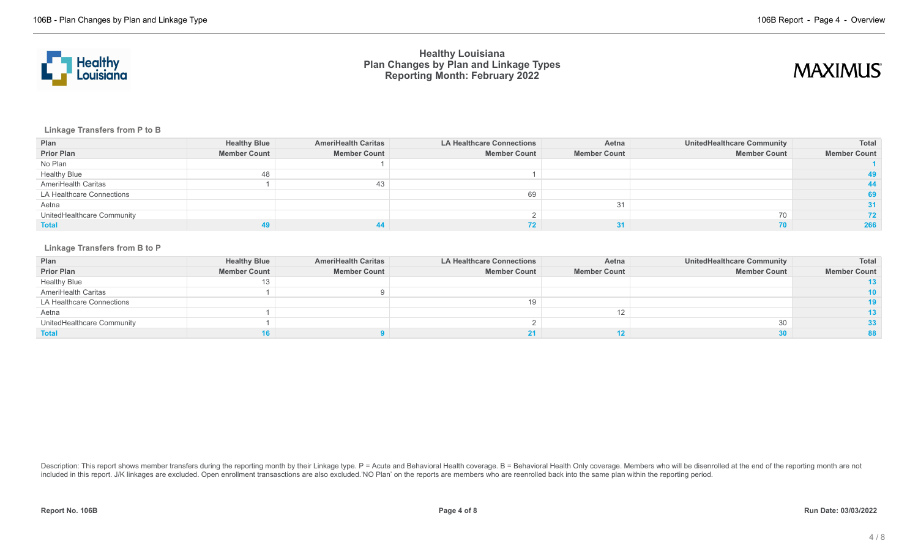



**Linkage Transfers from P to B**

| Plan                       | <b>Healthy Blue</b> | <b>AmeriHealth Caritas</b> | <b>LA Healthcare Connections</b> | Aetna               | UnitedHealthcare Community | Total               |
|----------------------------|---------------------|----------------------------|----------------------------------|---------------------|----------------------------|---------------------|
| <b>Prior Plan</b>          | <b>Member Count</b> | <b>Member Count</b>        | <b>Member Count</b>              | <b>Member Count</b> | <b>Member Count</b>        | <b>Member Count</b> |
| No Plan                    |                     |                            |                                  |                     |                            |                     |
| <b>Healthy Blue</b>        | 48                  |                            |                                  |                     |                            |                     |
| AmeriHealth Caritas        |                     | 43                         |                                  |                     |                            |                     |
| LA Healthcare Connections  |                     |                            | 69                               |                     |                            | 69                  |
| Aetna                      |                     |                            |                                  | 31                  |                            |                     |
| UnitedHealthcare Community |                     |                            |                                  |                     | 70                         | 72.                 |
| <b>Total</b>               |                     |                            |                                  |                     |                            | 266                 |

#### **Linkage Transfers from B to P**

| Plan                       | <b>Healthy Blue</b> | <b>AmeriHealth Caritas</b> | <b>LA Healthcare Connections</b> | Aetna               | <b>UnitedHealthcare Community</b> | <b>Total</b>        |
|----------------------------|---------------------|----------------------------|----------------------------------|---------------------|-----------------------------------|---------------------|
| <b>Prior Plan</b>          | <b>Member Count</b> | <b>Member Count</b>        | <b>Member Count</b>              | <b>Member Count</b> | <b>Member Count</b>               | <b>Member Count</b> |
| <b>Healthy Blue</b>        | 13                  |                            |                                  |                     |                                   |                     |
| AmeriHealth Caritas        |                     |                            |                                  |                     |                                   | 10                  |
| LA Healthcare Connections  |                     |                            |                                  |                     |                                   |                     |
| Aetna                      |                     |                            |                                  |                     |                                   |                     |
| UnitedHealthcare Community |                     |                            |                                  |                     |                                   | 33 <sup>°</sup>     |
| <b>Total</b>               |                     |                            |                                  |                     |                                   |                     |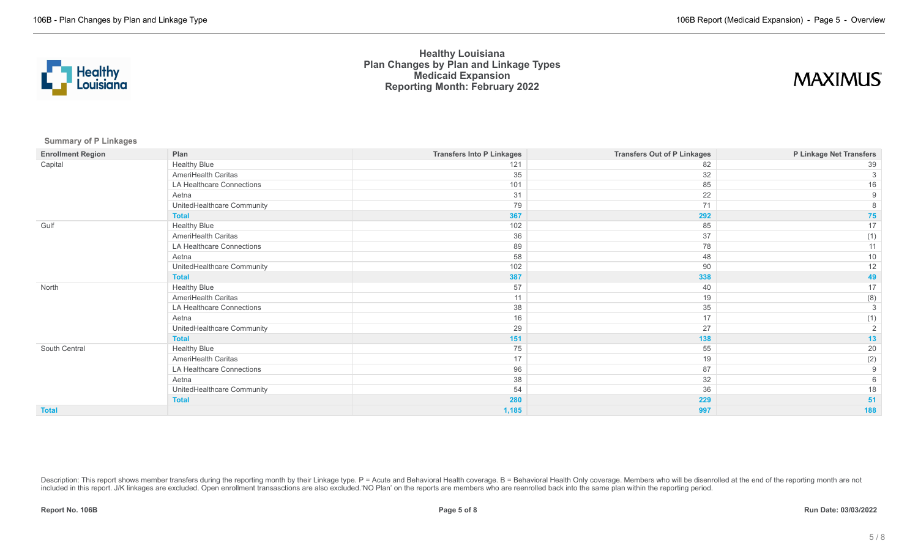

# **MAXIMUS**

**Summary of P Linkages**

| <b>Enrollment Region</b> | Plan                       | <b>Transfers Into P Linkages</b> | <b>Transfers Out of P Linkages</b> | P Linkage Net Transfers |
|--------------------------|----------------------------|----------------------------------|------------------------------------|-------------------------|
| Capital                  | <b>Healthy Blue</b>        | 121                              | 82                                 | 39                      |
|                          | AmeriHealth Caritas        | 35                               | 32                                 |                         |
|                          | LA Healthcare Connections  | 101                              | 85                                 | 16                      |
|                          | Aetna                      | 31                               | 22                                 | 9                       |
|                          | UnitedHealthcare Community | 79                               | 71                                 |                         |
|                          | <b>Total</b>               | 367                              | 292                                | 75                      |
| Gulf                     | <b>Healthy Blue</b>        | 102                              | 85                                 | 17                      |
|                          | AmeriHealth Caritas        | 36                               | 37                                 | (1)                     |
|                          | LA Healthcare Connections  | 89                               | 78                                 | 11                      |
|                          | Aetna                      | 58                               | 48                                 | $10$                    |
|                          | UnitedHealthcare Community | 102                              | 90                                 | 12                      |
|                          | <b>Total</b>               | 387                              | 338                                | 49                      |
| North                    | <b>Healthy Blue</b>        | 57                               | 40                                 | 17                      |
|                          | AmeriHealth Caritas        | 11                               | 19                                 | (8)                     |
|                          | LA Healthcare Connections  | 38                               | 35                                 | 3                       |
|                          | Aetna                      | 16                               | 17                                 | (1)                     |
|                          | UnitedHealthcare Community | 29                               | 27                                 | 2                       |
|                          | <b>Total</b>               | 151                              | 138                                | 13                      |
| South Central            | <b>Healthy Blue</b>        | 75                               | 55                                 | 20                      |
|                          | AmeriHealth Caritas        | 17                               | 19                                 | (2)                     |
|                          | LA Healthcare Connections  | 96                               | 87                                 | 9                       |
|                          | Aetna                      | 38                               | 32                                 |                         |
|                          | UnitedHealthcare Community | 54                               | 36                                 | 18                      |
|                          | <b>Total</b>               | 280                              | 229                                | 51                      |
| <b>Total</b>             |                            | 1,185                            | 997                                | 188                     |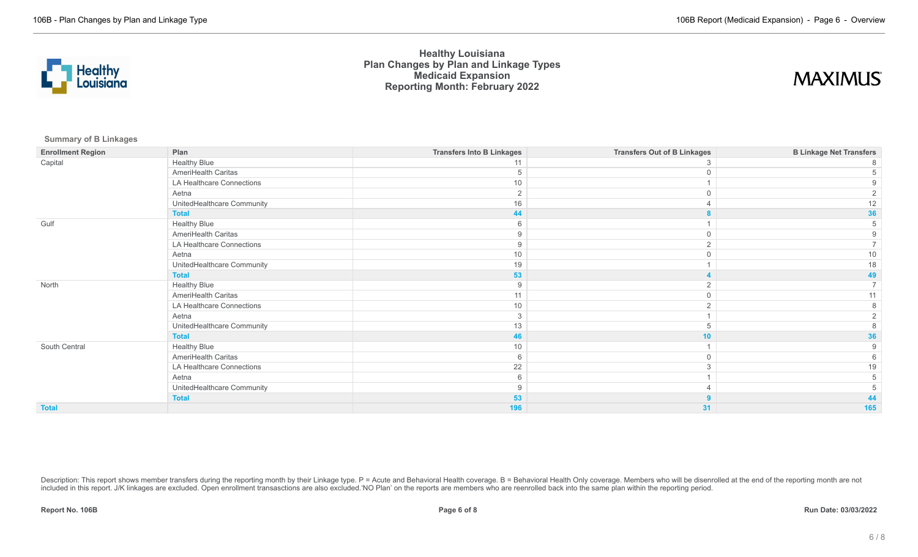

# **MAXIMUS**

**Summary of B Linkages**

| <b>Enrollment Region</b> | Plan                       | <b>Transfers Into B Linkages</b> | <b>Transfers Out of B Linkages</b> | <b>B Linkage Net Transfers</b> |
|--------------------------|----------------------------|----------------------------------|------------------------------------|--------------------------------|
| Capital                  | <b>Healthy Blue</b>        | 11                               |                                    |                                |
|                          | AmeriHealth Caritas        |                                  |                                    |                                |
|                          | LA Healthcare Connections  | 10                               |                                    |                                |
|                          | Aetna                      | $\overline{2}$                   |                                    |                                |
|                          | UnitedHealthcare Community | 16                               |                                    |                                |
|                          | <b>Total</b>               | 44                               |                                    | 36                             |
| Gulf                     | <b>Healthy Blue</b>        |                                  |                                    |                                |
|                          | AmeriHealth Caritas        |                                  |                                    |                                |
|                          | LA Healthcare Connections  | 9                                |                                    |                                |
|                          | Aetna                      | 10 <sup>1</sup>                  |                                    |                                |
|                          | UnitedHealthcare Community | 19                               |                                    |                                |
|                          | <b>Total</b>               | 53                               |                                    |                                |
| North                    | <b>Healthy Blue</b>        |                                  |                                    |                                |
|                          | AmeriHealth Caritas        | 11                               |                                    |                                |
|                          | LA Healthcare Connections  | 10                               |                                    |                                |
|                          | Aetna                      | 3                                |                                    |                                |
|                          | UnitedHealthcare Community | 13                               |                                    |                                |
|                          | <b>Total</b>               | 46                               | 10                                 | 36                             |
| South Central            | <b>Healthy Blue</b>        | 10                               |                                    |                                |
|                          | AmeriHealth Caritas        | 6                                | $\Omega$                           |                                |
|                          | LA Healthcare Connections  | 22                               |                                    |                                |
|                          | Aetna                      |                                  |                                    |                                |
|                          | UnitedHealthcare Community |                                  |                                    |                                |
|                          | <b>Total</b>               | 53                               |                                    |                                |
| <b>Total</b>             |                            | 196                              | 31                                 | 165                            |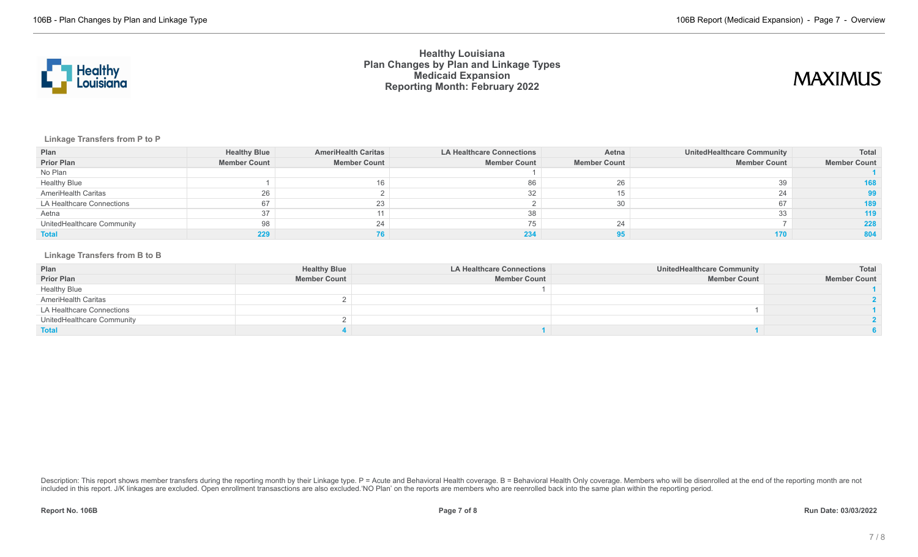

# **MAXIMUS**

### **Linkage Transfers from P to P**

| Plan                       | <b>Healthy Blue</b> | <b>AmeriHealth Caritas</b> | <b>LA Healthcare Connections</b> | Aetna               | UnitedHealthcare Community | Total               |
|----------------------------|---------------------|----------------------------|----------------------------------|---------------------|----------------------------|---------------------|
| <b>Prior Plan</b>          | <b>Member Count</b> | <b>Member Count</b>        | <b>Member Count</b>              | <b>Member Count</b> | <b>Member Count</b>        | <b>Member Count</b> |
| No Plan                    |                     |                            |                                  |                     |                            |                     |
| <b>Healthy Blue</b>        |                     | 16                         | 86                               | 26                  | 39                         |                     |
| AmeriHealth Caritas        | 26                  |                            | 32                               |                     |                            |                     |
| LA Healthcare Connections  |                     | 23                         |                                  |                     |                            |                     |
| Aetna                      | 37                  | 11                         | 38                               |                     |                            | 119                 |
| UnitedHealthcare Community | 98                  | 24                         |                                  | 24                  |                            | 228                 |
| <b>Total</b>               |                     |                            | 234                              |                     |                            |                     |

### **Linkage Transfers from B to B**

| Plan                       | <b>Healthy Blue</b> | <b>LA Healthcare Connections</b> | <b>UnitedHealthcare Community</b> | Total               |
|----------------------------|---------------------|----------------------------------|-----------------------------------|---------------------|
| <b>Prior Plan</b>          | <b>Member Count</b> | <b>Member Count</b>              | <b>Member Count</b>               | <b>Member Count</b> |
| <b>Healthy Blue</b>        |                     |                                  |                                   |                     |
| AmeriHealth Caritas        |                     |                                  |                                   |                     |
| LA Healthcare Connections  |                     |                                  |                                   |                     |
| UnitedHealthcare Community |                     |                                  |                                   |                     |
| <b>Total</b>               |                     |                                  |                                   |                     |